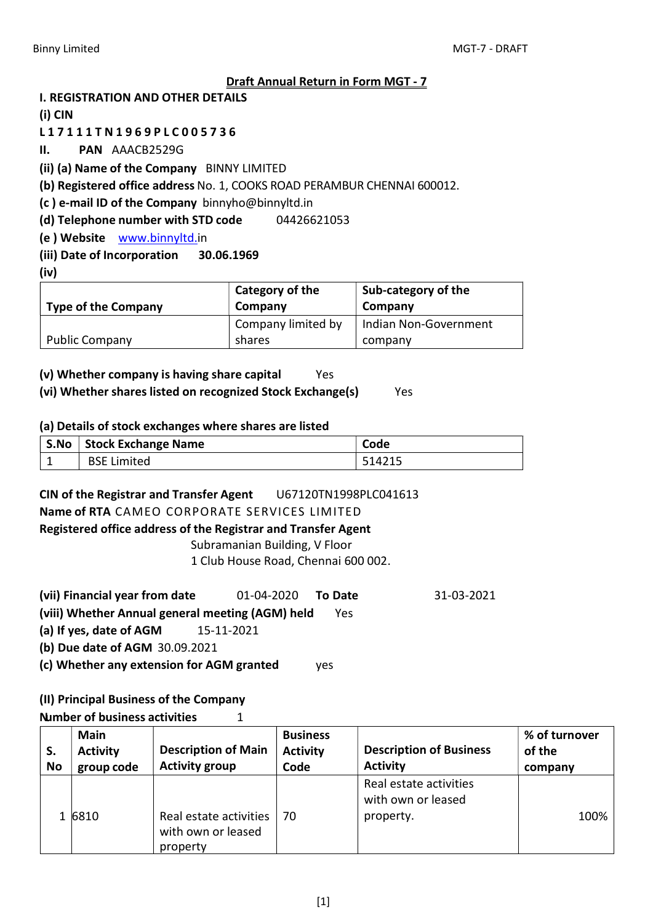#### Draft Annual Return in Form MGT - 7

I. REGISTRATION AND OTHER DETAILS

(i) CIN

L 1 7 1 1 1 T N 1 9 6 9 P L C 0 0 5 7 3 6

II. PAN AAACB2529G

(ii) (a) Name of the Company BINNY LIMITED

(b) Registered office address No. 1, COOKS ROAD PERAMBUR CHENNAI 600012.

(c ) e-mail ID of the Company binnyho@binnyltd.in

(d) Telephone number with STD code 04426621053

(e ) Website www.binnyltd.in

#### (iii) Date of Incorporation 30.06.1969

(iv)

|                            | <sup>'</sup> Category of the | <b>Sub-category of the</b> |
|----------------------------|------------------------------|----------------------------|
| <b>Type of the Company</b> | Company                      | Company                    |
|                            | Company limited by           | Indian Non-Government      |
| <b>Public Company</b>      | shares                       | company                    |

### (v) Whether company is having share capital Yes

### (vi) Whether shares listed on recognized Stock Exchange(s) Yes

#### (a) Details of stock exchanges where shares are listed

| S.No Stock Exchange Name | Code   |
|--------------------------|--------|
| <b>BSE Limited</b>       | 514215 |

# CIN of the Registrar and Transfer Agent U67120TN1998PLC041613

Name of RTA CAMEO CORPORATE SERVICES LIMITED

#### Registered office address of the Registrar and Transfer Agent

Subramanian Building, V Floor

1 Club House Road, Chennai 600 002.

- (vii) Financial year from date 01-04-2020 To Date 31-03-2021
- (viii) Whether Annual general meeting (AGM) held Yes

(a) If yes, date of AGM 15-11-2021

(b) Due date of AGM 30.09.2021

(c) Whether any extension for AGM granted yes

### (II) Principal Business of the Company

Number of business activities 1

| S.<br><b>No</b> | <b>Main</b><br><b>Activity</b><br>group code | <b>Description of Main</b><br><b>Activity group</b>      | <b>Business</b><br><b>Activity</b><br>Code | <b>Description of Business</b><br><b>Activity</b>         | % of turnover<br>of the<br>company |
|-----------------|----------------------------------------------|----------------------------------------------------------|--------------------------------------------|-----------------------------------------------------------|------------------------------------|
|                 | 1 6810                                       | Real estate activities<br>with own or leased<br>property | 70                                         | Real estate activities<br>with own or leased<br>property. | 100%                               |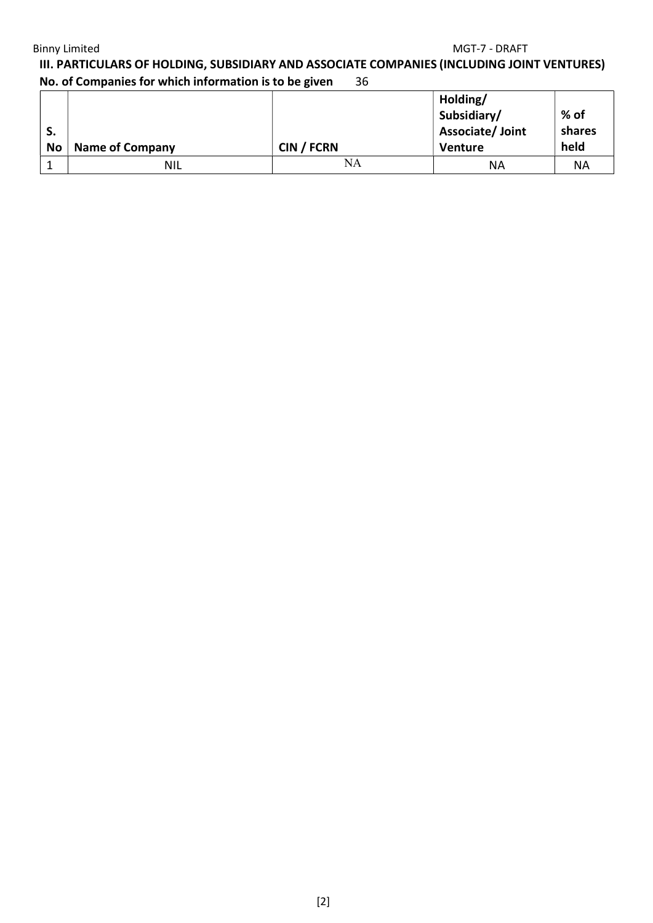#### Binny Limited MGT-7 - DRAFT

III. PARTICULARS OF HOLDING, SUBSIDIARY AND ASSOCIATE COMPANIES (INCLUDING JOINT VENTURES) No. of Companies for which information is to be given 36

| э.<br><b>No</b> | <b>Name of Company</b> | CIN / FCRN | Holding/<br>Subsidiary/<br>Associate/ Joint<br>Venture | % of<br>shares<br>held |
|-----------------|------------------------|------------|--------------------------------------------------------|------------------------|
|                 | <b>NIL</b>             | NA         | NА                                                     | <b>NA</b>              |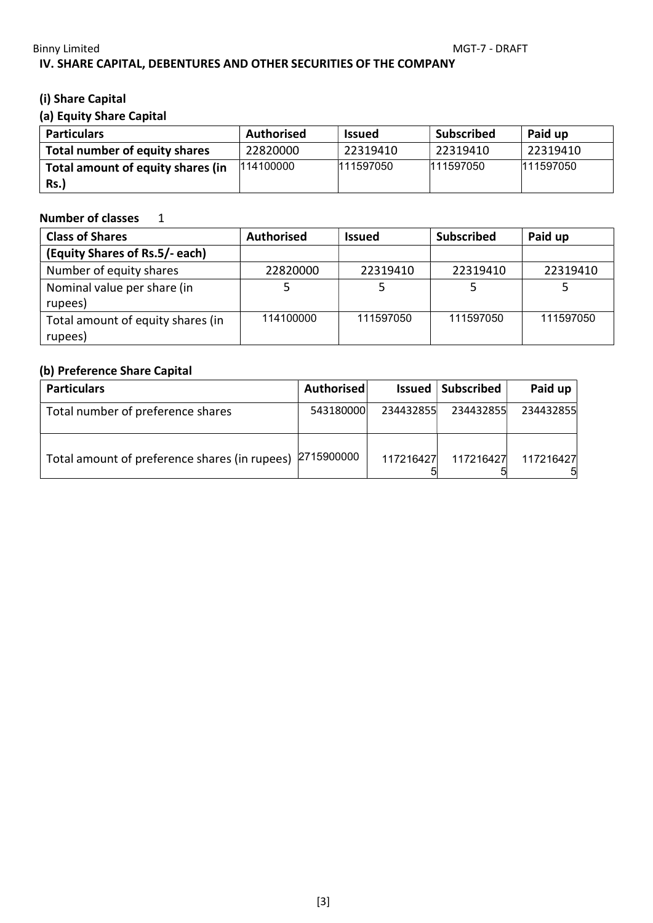### Binny Limited MGT-7 - DRAFT IV. SHARE CAPITAL, DEBENTURES AND OTHER SECURITIES OF THE COMPANY

## (i) Share Capital

## (a) Equity Share Capital

| <b>Particulars</b>                | <b>Authorised</b> | <b>Issued</b> | <b>Subscribed</b> | Paid up   |
|-----------------------------------|-------------------|---------------|-------------------|-----------|
| Total number of equity shares     | 22820000          | 22319410      | 22319410          | 22319410  |
| Total amount of equity shares (in | 114100000         | 111597050     | 111597050         | 111597050 |
| <b>Rs.)</b>                       |                   |               |                   |           |

### Number of classes 1

| <b>Class of Shares</b>                       | <b>Authorised</b> | <b>Issued</b> | <b>Subscribed</b> | Paid up   |
|----------------------------------------------|-------------------|---------------|-------------------|-----------|
| (Equity Shares of Rs.5/- each)               |                   |               |                   |           |
| Number of equity shares                      | 22820000          | 22319410      | 22319410          | 22319410  |
| Nominal value per share (in<br>rupees)       |                   |               |                   |           |
| Total amount of equity shares (in<br>rupees) | 114100000         | 111597050     | 111597050         | 111597050 |

## (b) Preference Share Capital

| <b>Particulars</b>                                       | Authorised |           | <b>Issued Subscribed</b> | Paid up   |
|----------------------------------------------------------|------------|-----------|--------------------------|-----------|
| Total number of preference shares                        | 543180000  | 234432855 | 234432855                | 234432855 |
| Total amount of preference shares (in rupees) 2715900000 |            | 117216427 | 117216427                | 117216427 |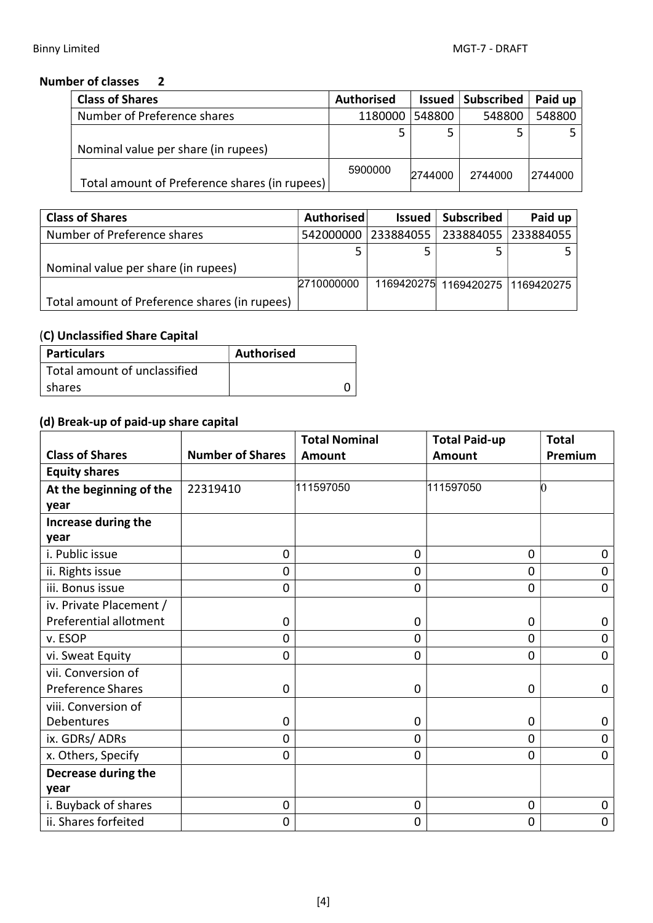## Number of classes 2

| <b>Class of Shares</b>                        | <b>Authorised</b> | <b>Issued</b> | Subscribed | Paid up |
|-----------------------------------------------|-------------------|---------------|------------|---------|
| Number of Preference shares                   | 1180000           | 548800        | 548800     | 548800  |
|                                               |                   |               |            |         |
| Nominal value per share (in rupees)           |                   |               |            |         |
| Total amount of Preference shares (in rupees) | 5900000           | 2744000       | 2744000    | 2744000 |

| <b>Class of Shares</b>                        | <b>Authorised</b> | Issued    | <b>Subscribed</b>                | Paid up   |
|-----------------------------------------------|-------------------|-----------|----------------------------------|-----------|
| Number of Preference shares                   | 542000000         | 233884055 | 233884055                        | 233884055 |
|                                               |                   |           |                                  |           |
| Nominal value per share (in rupees)           |                   |           |                                  |           |
|                                               | 2710000000        |           | 1169420275 1169420275 1169420275 |           |
| Total amount of Preference shares (in rupees) |                   |           |                                  |           |

# (C) Unclassified Share Capital

| Particulars                    | <b>Authorised</b> |
|--------------------------------|-------------------|
| l Total amount of unclassified |                   |
| shares                         |                   |

# (d) Break-up of paid-up share capital

|                          |                         | <b>Total Nominal</b> | <b>Total Paid-up</b> | <b>Total</b>   |
|--------------------------|-------------------------|----------------------|----------------------|----------------|
| <b>Class of Shares</b>   | <b>Number of Shares</b> | Amount               | <b>Amount</b>        | Premium        |
| <b>Equity shares</b>     |                         |                      |                      |                |
| At the beginning of the  | 22319410                | 111597050            | 111597050            | 0              |
| year                     |                         |                      |                      |                |
| Increase during the      |                         |                      |                      |                |
| year                     |                         |                      |                      |                |
| i. Public issue          | 0                       | 0                    | $\mathbf 0$          | $\Omega$       |
| ii. Rights issue         | $\mathbf 0$             | 0                    | $\mathbf 0$          | 0              |
| iii. Bonus issue         | 0                       | 0                    | $\mathbf 0$          | 0              |
| iv. Private Placement /  |                         |                      |                      |                |
| Preferential allotment   | 0                       | 0                    | 0                    | 0              |
| v. ESOP                  | $\mathbf 0$             | 0                    | $\mathbf 0$          | $\mathbf 0$    |
| vi. Sweat Equity         | $\mathbf 0$             | 0                    | $\mathbf 0$          | $\mathbf 0$    |
| vii. Conversion of       |                         |                      |                      |                |
| <b>Preference Shares</b> | 0                       | 0                    | $\mathbf 0$          | $\mathbf 0$    |
| viii. Conversion of      |                         |                      |                      |                |
| Debentures               | 0                       | 0                    | $\mathbf 0$          | 0              |
| ix. GDRs/ ADRs           | $\overline{0}$          | 0                    | $\mathbf 0$          | $\overline{0}$ |
| x. Others, Specify       | $\overline{0}$          | 0                    | $\mathbf 0$          | 0              |
| Decrease during the      |                         |                      |                      |                |
| year                     |                         |                      |                      |                |
| i. Buyback of shares     | 0                       | $\mathbf 0$          | $\mathbf 0$          | 0              |
| ii. Shares forfeited     | 0                       | 0                    | $\mathbf 0$          | 0              |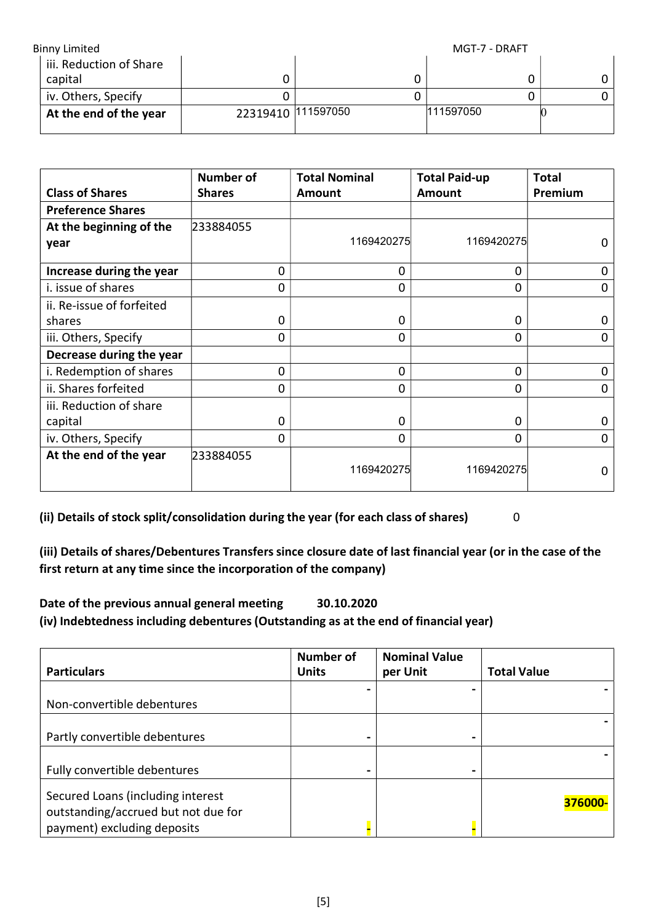| <b>Binny Limited</b>    |                    | MGT-7 - DRAFT |  |
|-------------------------|--------------------|---------------|--|
| iii. Reduction of Share |                    |               |  |
| capital                 |                    |               |  |
| iv. Others, Specify     |                    |               |  |
| At the end of the year  | 22319410 111597050 | 111597050     |  |

|                           | Number of     | <b>Total Nominal</b> | <b>Total Paid-up</b> | <b>Total</b> |
|---------------------------|---------------|----------------------|----------------------|--------------|
| <b>Class of Shares</b>    | <b>Shares</b> | Amount               | Amount               | Premium      |
| <b>Preference Shares</b>  |               |                      |                      |              |
| At the beginning of the   | 233884055     |                      |                      |              |
| year                      |               | 1169420275           | 1169420275           | 0            |
| Increase during the year  | $\mathbf 0$   | 0                    | 0                    | 0            |
| i. issue of shares        | 0             | 0                    | 0                    | 0            |
| ii. Re-issue of forfeited |               |                      |                      |              |
| shares                    | $\Omega$      | 0                    | 0                    | 0            |
| iii. Others, Specify      | 0             | 0                    | 0                    | 0            |
| Decrease during the year  |               |                      |                      |              |
| i. Redemption of shares   | $\Omega$      | 0                    | 0                    | 0            |
| ii. Shares forfeited      | 0             | 0                    | 0                    | 0            |
| iii. Reduction of share   |               |                      |                      |              |
| capital                   | 0             | 0                    | 0                    | Ω            |
| iv. Others, Specify       | 0             | 0                    | 0                    | 0            |
| At the end of the year    | 233884055     | 1169420275           | 1169420275           | ი            |

(ii) Details of stock split/consolidation during the year (for each class of shares) 0

(iii) Details of shares/Debentures Transfers since closure date of last financial year (or in the case of the first return at any time since the incorporation of the company)

Date of the previous annual general meeting 30.10.2020 (iv) Indebtedness including debentures (Outstanding as at the end of financial year)

| <b>Particulars</b>                                                                                      | <b>Number of</b><br><b>Units</b> | <b>Nominal Value</b><br>per Unit | <b>Total Value</b> |
|---------------------------------------------------------------------------------------------------------|----------------------------------|----------------------------------|--------------------|
| Non-convertible debentures                                                                              |                                  |                                  |                    |
| Partly convertible debentures                                                                           |                                  | $\blacksquare$                   |                    |
| Fully convertible debentures                                                                            |                                  |                                  |                    |
| Secured Loans (including interest<br>outstanding/accrued but not due for<br>payment) excluding deposits |                                  |                                  | 376000-            |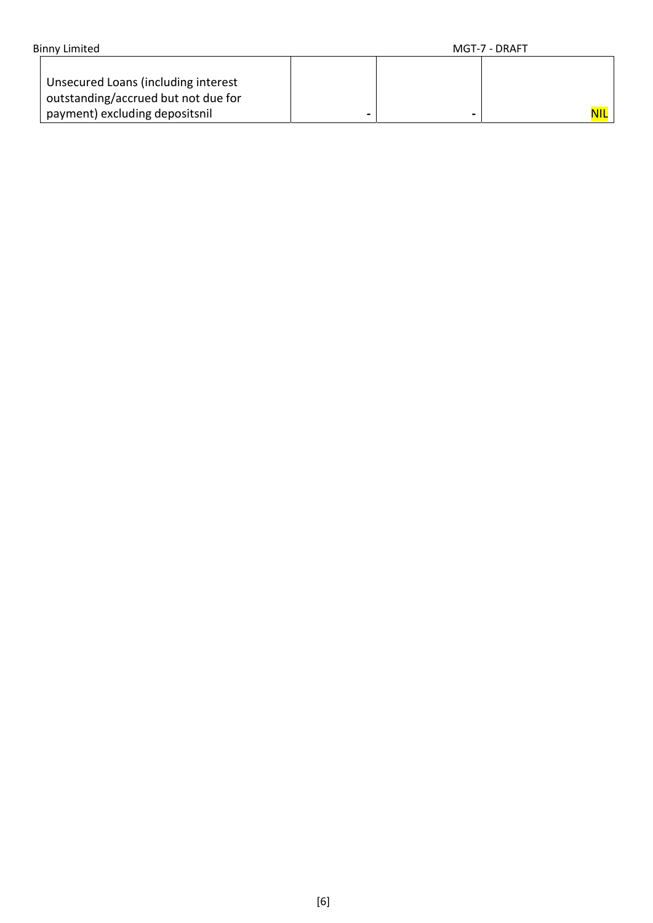| <b>Binny Limited</b>                                                                                         |   | MGT-7 - DRAFT |
|--------------------------------------------------------------------------------------------------------------|---|---------------|
| Unsecured Loans (including interest<br>outstanding/accrued but not due for<br>payment) excluding depositsnil | ۰ | NIL I         |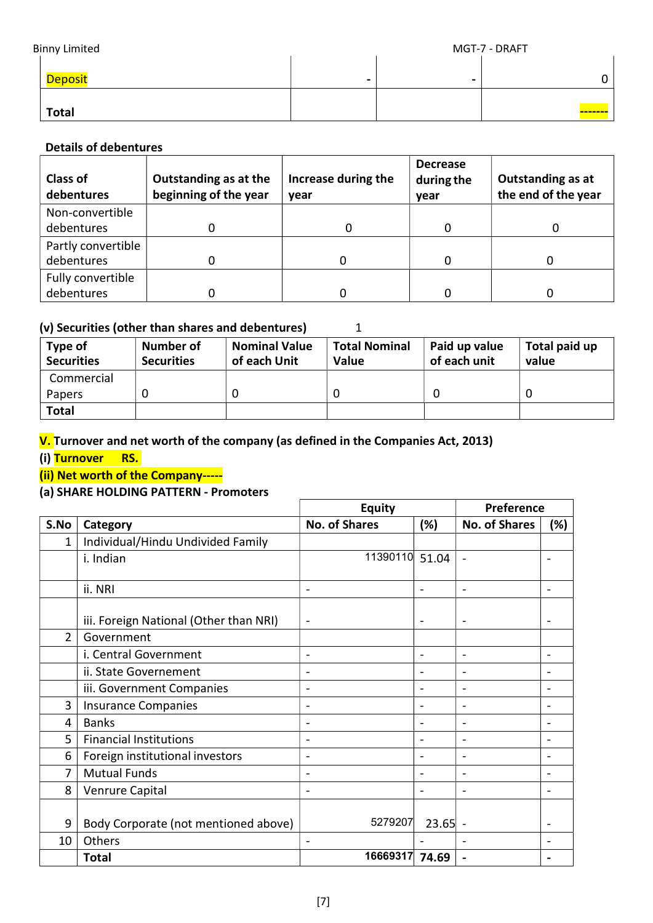| <b>Binny Limited</b> |                | MGT-7 - DRAFT  |                |   |
|----------------------|----------------|----------------|----------------|---|
|                      | <b>Deposit</b> | $\blacksquare$ | $\blacksquare$ | 0 |
|                      | <b>Total</b>   |                |                |   |

### Details of debentures

| <b>Class of</b><br>debentures    | Outstanding as at the<br>beginning of the year | Increase during the<br>vear | <b>Decrease</b><br>during the<br>year | <b>Outstanding as at</b><br>the end of the year |
|----------------------------------|------------------------------------------------|-----------------------------|---------------------------------------|-------------------------------------------------|
| Non-convertible<br>debentures    |                                                | 0                           |                                       |                                                 |
| Partly convertible<br>debentures |                                                |                             |                                       |                                                 |
| Fully convertible<br>debentures  |                                                |                             |                                       |                                                 |

### (v) Securities (other than shares and debentures)  $1$

| Type of<br><b>Securities</b> | Number of<br><b>Securities</b> | <b>Nominal Value</b><br>of each Unit | <b>Total Nominal</b><br>Value | Paid up value<br>of each unit | Total paid up<br>value |
|------------------------------|--------------------------------|--------------------------------------|-------------------------------|-------------------------------|------------------------|
| Commercial                   |                                |                                      |                               |                               |                        |
| Papers                       |                                |                                      |                               |                               |                        |
| <b>Total</b>                 |                                |                                      |                               |                               |                        |

## V. Turnover and net worth of the company (as defined in the Companies Act, 2013)

(i) Turnover RS.

### (ii) Net worth of the Company-----

#### (a) SHARE HOLDING PATTERN - Promoters

|                |                                        | <b>Equity</b>            | <b>Preference</b>        |                          |                              |
|----------------|----------------------------------------|--------------------------|--------------------------|--------------------------|------------------------------|
| S.No           | Category                               | <b>No. of Shares</b>     | (%)                      | <b>No. of Shares</b>     | (%)                          |
| 1              | Individual/Hindu Undivided Family      |                          |                          |                          |                              |
|                | i. Indian                              | 11390110 51.04           |                          | $\qquad \qquad$          |                              |
|                | ii. NRI                                | $\overline{\phantom{a}}$ | $\overline{\phantom{a}}$ | $\overline{\phantom{0}}$ | $\qquad \qquad \blacksquare$ |
|                | iii. Foreign National (Other than NRI) | $\overline{\phantom{a}}$ | $\overline{\phantom{a}}$ | $\qquad \qquad$          | $\overline{\phantom{a}}$     |
| $\overline{2}$ | Government                             |                          |                          |                          |                              |
|                | i. Central Government                  | $\overline{a}$           | $\qquad \qquad$          | $\overline{\phantom{0}}$ | $\overline{a}$               |
|                | ii. State Governement                  |                          |                          | $\overline{\phantom{0}}$ |                              |
|                | iii. Government Companies              | $\overline{\phantom{a}}$ | $\qquad \qquad$          | $\overline{\phantom{0}}$ | $\overline{a}$               |
| 3              | <b>Insurance Companies</b>             |                          |                          | ۰                        |                              |
| 4              | <b>Banks</b>                           |                          | $\overline{\phantom{0}}$ | $\blacksquare$           |                              |
| 5              | <b>Financial Institutions</b>          | $\overline{a}$           | $\overline{\phantom{0}}$ | $\overline{\phantom{0}}$ | $\blacksquare$               |
| 6              | Foreign institutional investors        | $\overline{a}$           | $\overline{\phantom{0}}$ | $\overline{\phantom{0}}$ |                              |
| 7              | <b>Mutual Funds</b>                    | $\overline{\phantom{a}}$ | $\overline{\phantom{0}}$ | $\overline{a}$           | $\overline{\phantom{0}}$     |
| 8              | Venrure Capital                        |                          |                          |                          |                              |
|                |                                        |                          |                          |                          |                              |
| 9              | Body Corporate (not mentioned above)   | 5279207                  | $23.65$ -                |                          |                              |
| 10             | Others                                 |                          |                          |                          |                              |
|                | <b>Total</b>                           | 16669317                 | 74.69                    |                          |                              |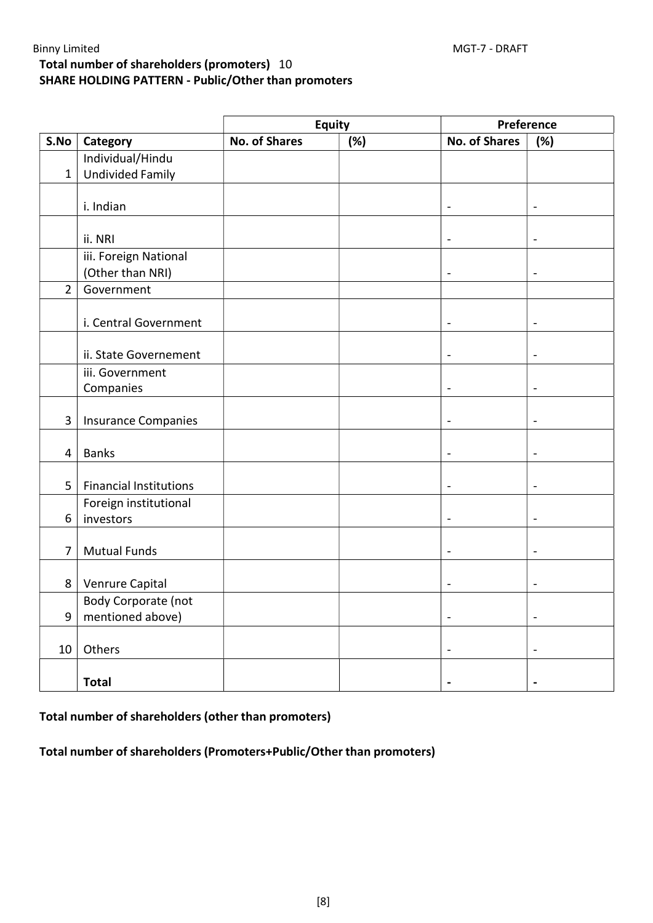## Total number of shareholders (promoters) 10 SHARE HOLDING PATTERN - Public/Other than promoters

|                |                                    | <b>Equity</b>        |     | Preference                   |                          |
|----------------|------------------------------------|----------------------|-----|------------------------------|--------------------------|
| S.No           | Category                           | <b>No. of Shares</b> | (%) | <b>No. of Shares</b>         | (%)                      |
|                | Individual/Hindu                   |                      |     |                              |                          |
| $\mathbf{1}$   | <b>Undivided Family</b>            |                      |     |                              |                          |
|                |                                    |                      |     |                              |                          |
|                | i. Indian                          |                      |     | $\overline{a}$               | $\overline{\phantom{a}}$ |
|                |                                    |                      |     |                              |                          |
|                | ii. NRI                            |                      |     | $\overline{\phantom{0}}$     | $\overline{\phantom{a}}$ |
|                | iii. Foreign National              |                      |     |                              |                          |
|                | (Other than NRI)                   |                      |     | $\overline{a}$               | $\overline{\phantom{a}}$ |
| $\overline{2}$ | Government                         |                      |     |                              |                          |
|                |                                    |                      |     |                              |                          |
|                | i. Central Government              |                      |     | $\blacksquare$               | $\blacksquare$           |
|                |                                    |                      |     |                              |                          |
|                | ii. State Governement              |                      |     | $\blacksquare$               | $\blacksquare$           |
|                | iii. Government                    |                      |     |                              |                          |
|                | Companies                          |                      |     | $\overline{\phantom{0}}$     | $\overline{\phantom{a}}$ |
|                |                                    |                      |     |                              |                          |
| 3              | <b>Insurance Companies</b>         |                      |     | $\overline{\phantom{0}}$     | $\blacksquare$           |
|                |                                    |                      |     |                              |                          |
| $\overline{4}$ | <b>Banks</b>                       |                      |     | $\qquad \qquad \blacksquare$ | $\blacksquare$           |
|                |                                    |                      |     |                              |                          |
| 5              | <b>Financial Institutions</b>      |                      |     | $\blacksquare$               | $\blacksquare$           |
| 6              | Foreign institutional<br>investors |                      |     | $\blacksquare$               | $\blacksquare$           |
|                |                                    |                      |     |                              |                          |
| $\overline{7}$ | <b>Mutual Funds</b>                |                      |     | $\blacksquare$               | $\overline{\phantom{a}}$ |
|                |                                    |                      |     |                              |                          |
| 8              | Venrure Capital                    |                      |     | $\overline{\phantom{0}}$     | $\overline{\phantom{a}}$ |
|                | Body Corporate (not                |                      |     |                              |                          |
| 9              | mentioned above)                   |                      |     | $\blacksquare$               | $\blacksquare$           |
|                |                                    |                      |     |                              |                          |
| 10             | Others                             |                      |     | $\qquad \qquad \blacksquare$ | $\overline{\phantom{a}}$ |
|                |                                    |                      |     |                              |                          |
|                | <b>Total</b>                       |                      |     | ۰                            | $\blacksquare$           |

### Total number of shareholders (other than promoters)

Total number of shareholders (Promoters+Public/Other than promoters)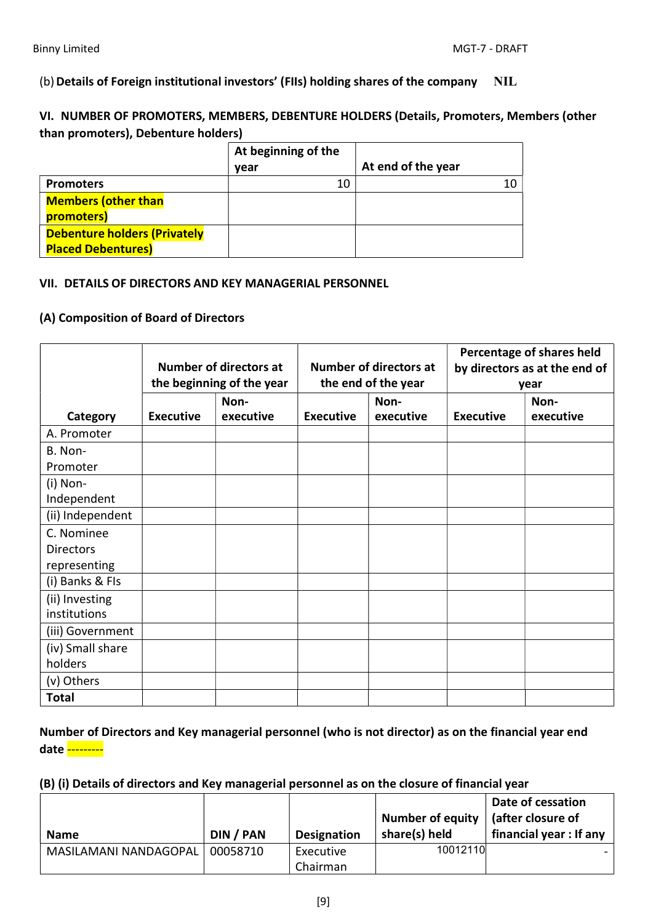(b) Details of Foreign institutional investors' (FIIs) holding shares of the company NIL

VI. NUMBER OF PROMOTERS, MEMBERS, DEBENTURE HOLDERS (Details, Promoters, Members (other than promoters), Debenture holders)

|                                                                  | At beginning of the |                    |
|------------------------------------------------------------------|---------------------|--------------------|
|                                                                  | year                | At end of the year |
| <b>Promoters</b>                                                 | 10                  | 10                 |
| <b>Members (other than</b><br>promoters)                         |                     |                    |
| <b>Debenture holders (Privately</b><br><b>Placed Debentures)</b> |                     |                    |

#### VII. DETAILS OF DIRECTORS AND KEY MANAGERIAL PERSONNEL

#### (A) Composition of Board of Directors

|                                |                  | <b>Number of directors at</b><br>the beginning of the year | <b>Number of directors at</b><br>the end of the year |                   | Percentage of shares held<br>by directors as at the end of<br>year |                   |  |
|--------------------------------|------------------|------------------------------------------------------------|------------------------------------------------------|-------------------|--------------------------------------------------------------------|-------------------|--|
| Category                       | <b>Executive</b> | Non-<br>executive                                          | <b>Executive</b>                                     | Non-<br>executive | <b>Executive</b>                                                   | Non-<br>executive |  |
| A. Promoter                    |                  |                                                            |                                                      |                   |                                                                    |                   |  |
| B. Non-                        |                  |                                                            |                                                      |                   |                                                                    |                   |  |
| Promoter                       |                  |                                                            |                                                      |                   |                                                                    |                   |  |
| $(i)$ Non-                     |                  |                                                            |                                                      |                   |                                                                    |                   |  |
| Independent                    |                  |                                                            |                                                      |                   |                                                                    |                   |  |
| (ii) Independent               |                  |                                                            |                                                      |                   |                                                                    |                   |  |
| C. Nominee                     |                  |                                                            |                                                      |                   |                                                                    |                   |  |
| <b>Directors</b>               |                  |                                                            |                                                      |                   |                                                                    |                   |  |
| representing                   |                  |                                                            |                                                      |                   |                                                                    |                   |  |
| (i) Banks & FIs                |                  |                                                            |                                                      |                   |                                                                    |                   |  |
| (ii) Investing<br>institutions |                  |                                                            |                                                      |                   |                                                                    |                   |  |
| (iii) Government               |                  |                                                            |                                                      |                   |                                                                    |                   |  |
| (iv) Small share               |                  |                                                            |                                                      |                   |                                                                    |                   |  |
| holders                        |                  |                                                            |                                                      |                   |                                                                    |                   |  |
| (v) Others                     |                  |                                                            |                                                      |                   |                                                                    |                   |  |
| <b>Total</b>                   |                  |                                                            |                                                      |                   |                                                                    |                   |  |

Number of Directors and Key managerial personnel (who is not director) as on the financial year end date --------

#### (B) (i) Details of directors and Key managerial personnel as on the closure of financial year

| <b>Name</b>           | DIN / PAN | <b>Designation</b> | <b>Number of equity</b><br>share(s) held | Date of cessation<br>$\vert$ (after closure of<br>financial year: If any |
|-----------------------|-----------|--------------------|------------------------------------------|--------------------------------------------------------------------------|
| MASILAMANI NANDAGOPAL | 00058710  | Executive          | 10012110                                 |                                                                          |
|                       |           | Chairman           |                                          |                                                                          |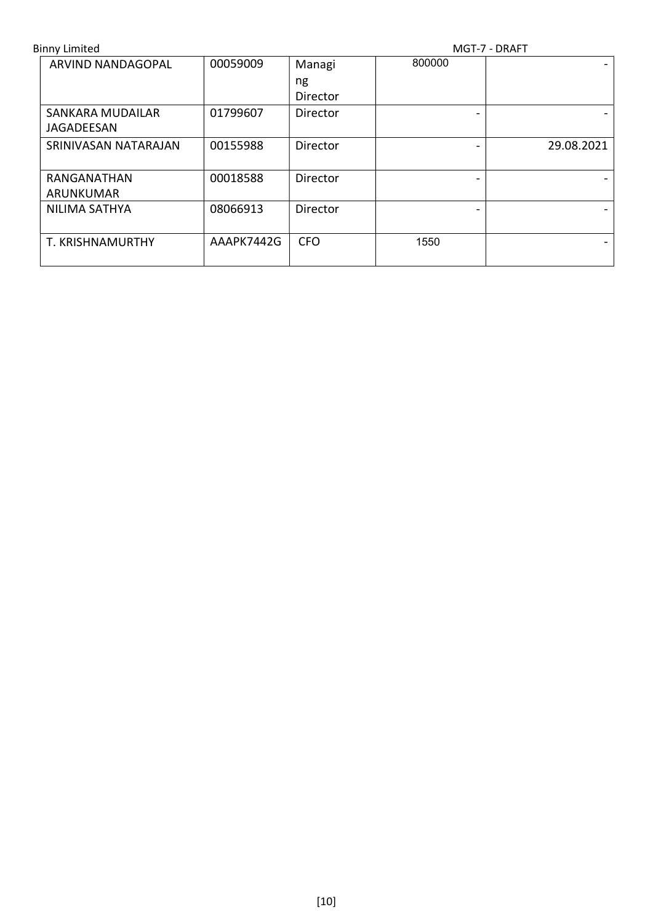| <b>Binny Limited</b>     |            | MGT-7 - DRAFT |        |            |
|--------------------------|------------|---------------|--------|------------|
| <b>ARVIND NANDAGOPAL</b> | 00059009   | Managi        | 800000 |            |
|                          |            | ng            |        |            |
|                          |            | Director      |        |            |
| <b>SANKARA MUDAILAR</b>  | 01799607   | Director      |        |            |
| JAGADEESAN               |            |               |        |            |
| SRINIVASAN NATARAJAN     | 00155988   | Director      |        | 29.08.2021 |
|                          |            |               |        |            |
| RANGANATHAN              | 00018588   | Director      |        |            |
| ARUNKUMAR                |            |               |        |            |
| NILIMA SATHYA            | 08066913   | Director      |        |            |
|                          |            |               |        |            |
| T. KRISHNAMURTHY         | AAAPK7442G | <b>CFO</b>    | 1550   |            |
|                          |            |               |        |            |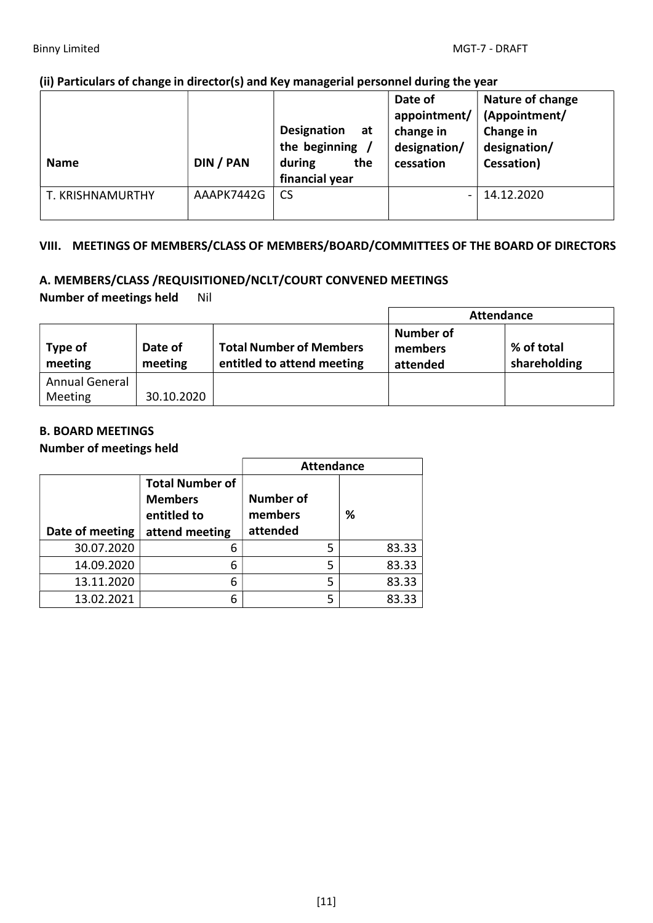#### (ii) Particulars of change in director(s) and Key managerial personnel during the year

| <b>Name</b>      | DIN / PAN  | <b>Designation</b><br>- at<br>the beginning /<br>during<br>the<br>financial year | Date of<br>appointment/<br>change in<br>designation/<br>cessation | Nature of change<br>(Appointment/<br>Change in<br>designation/<br>Cessation) |
|------------------|------------|----------------------------------------------------------------------------------|-------------------------------------------------------------------|------------------------------------------------------------------------------|
| T. KRISHNAMURTHY | AAAPK7442G | <b>CS</b>                                                                        |                                                                   | 14.12.2020                                                                   |

#### VIII. MEETINGS OF MEMBERS/CLASS OF MEMBERS/BOARD/COMMITTEES OF THE BOARD OF DIRECTORS

### A. MEMBERS/CLASS /REQUISITIONED/NCLT/COURT CONVENED MEETINGS Number of meetings held Nil

|                                  |                    |                                                              | <b>Attendance</b>                       |                            |  |
|----------------------------------|--------------------|--------------------------------------------------------------|-----------------------------------------|----------------------------|--|
| Type of<br>meeting               | Date of<br>meeting | <b>Total Number of Members</b><br>entitled to attend meeting | <b>Number of</b><br>members<br>attended | % of total<br>shareholding |  |
| Annual General<br><b>Meeting</b> | 30.10.2020         |                                                              |                                         |                            |  |

#### B. BOARD MEETINGS

#### Number of meetings held

|                 |                                                                           | <b>Attendance</b>                       |       |  |
|-----------------|---------------------------------------------------------------------------|-----------------------------------------|-------|--|
| Date of meeting | <b>Total Number of</b><br><b>Members</b><br>entitled to<br>attend meeting | <b>Number of</b><br>members<br>attended | ℅     |  |
| 30.07.2020      | 6                                                                         | 5                                       | 83.33 |  |
| 14.09.2020      | 6                                                                         | 5                                       | 83.33 |  |
| 13.11.2020      | 6                                                                         | 5                                       | 83.33 |  |
| 13.02.2021      | 6                                                                         | 5                                       | 83.33 |  |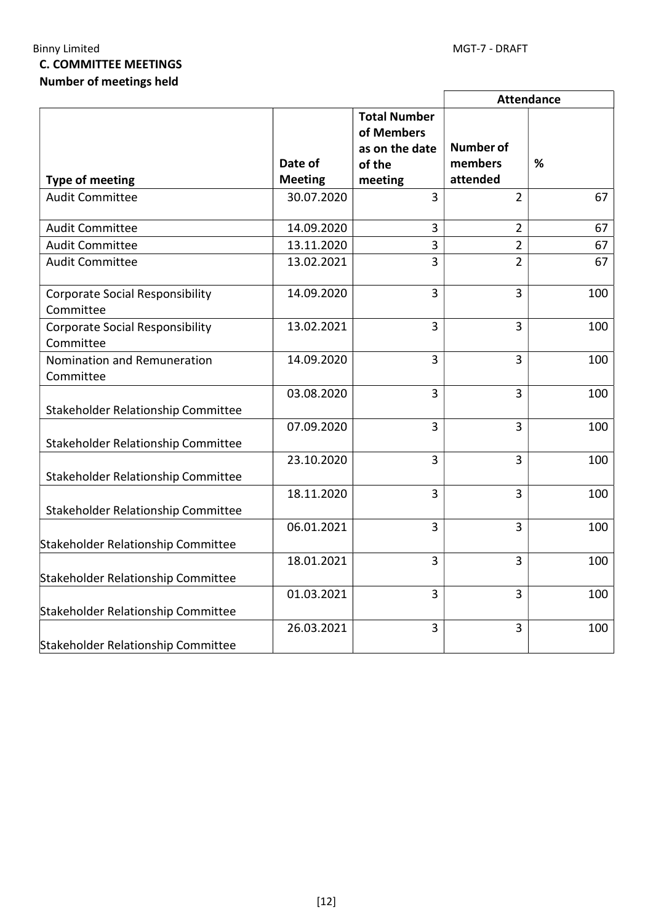## Binny Limited MGT-7 - DRAFT C. COMMITTEE MEETINGS Number of meetings held

|                                                     |                           |                                                                          |                                         | <b>Attendance</b> |
|-----------------------------------------------------|---------------------------|--------------------------------------------------------------------------|-----------------------------------------|-------------------|
| <b>Type of meeting</b>                              | Date of<br><b>Meeting</b> | <b>Total Number</b><br>of Members<br>as on the date<br>of the<br>meeting | <b>Number of</b><br>members<br>attended | %                 |
| <b>Audit Committee</b>                              | 30.07.2020                | 3                                                                        | $\overline{2}$                          | 67                |
|                                                     |                           |                                                                          |                                         |                   |
| <b>Audit Committee</b>                              | 14.09.2020                | 3                                                                        | $\overline{2}$                          | 67                |
| <b>Audit Committee</b>                              | 13.11.2020                | $\overline{3}$                                                           | $\overline{2}$                          | 67                |
| <b>Audit Committee</b>                              | 13.02.2021                | $\overline{3}$                                                           | $\overline{2}$                          | 67                |
| <b>Corporate Social Responsibility</b><br>Committee | 14.09.2020                | $\overline{3}$                                                           | 3                                       | 100               |
| <b>Corporate Social Responsibility</b><br>Committee | 13.02.2021                | $\overline{3}$                                                           | 3                                       | 100               |
| Nomination and Remuneration<br>Committee            | 14.09.2020                | 3                                                                        | 3                                       | 100               |
| Stakeholder Relationship Committee                  | 03.08.2020                | 3                                                                        | 3                                       | 100               |
| Stakeholder Relationship Committee                  | 07.09.2020                | 3                                                                        | 3                                       | 100               |
| Stakeholder Relationship Committee                  | 23.10.2020                | 3                                                                        | 3                                       | 100               |
| Stakeholder Relationship Committee                  | 18.11.2020                | 3                                                                        | 3                                       | 100               |
| Stakeholder Relationship Committee                  | 06.01.2021                | $\overline{3}$                                                           | 3                                       | 100               |
| Stakeholder Relationship Committee                  | 18.01.2021                | 3                                                                        | $\overline{3}$                          | 100               |
| Stakeholder Relationship Committee                  | 01.03.2021                | 3                                                                        | $\overline{3}$                          | 100               |
| Stakeholder Relationship Committee                  | 26.03.2021                | 3                                                                        | 3                                       | 100               |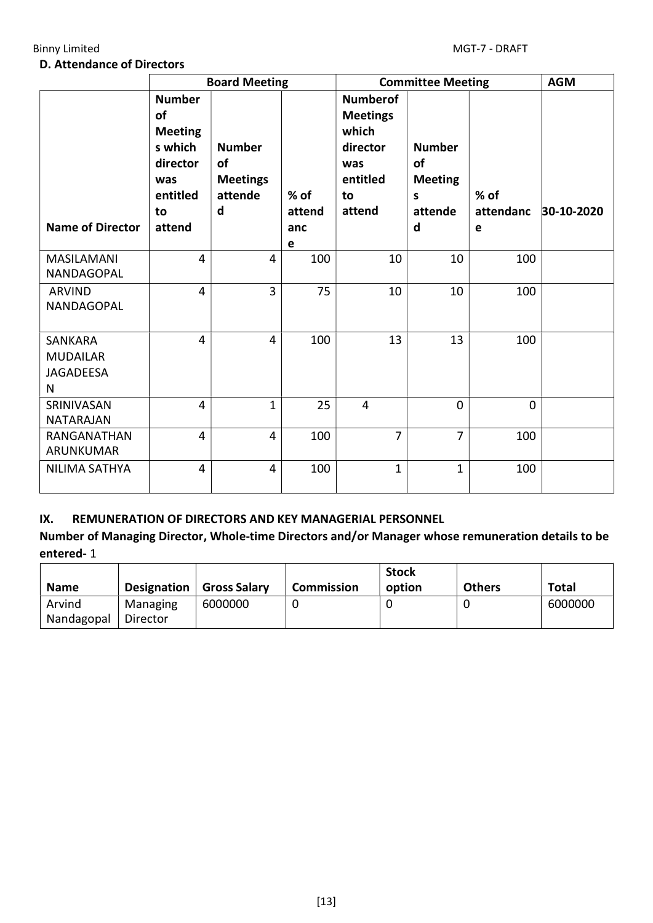#### D. Attendance of Directors

|                                                            | <b>Board Meeting</b>                                                                            |                                                        |                              | <b>Committee Meeting</b>                                                                   |                                                            |                        | <b>AGM</b> |
|------------------------------------------------------------|-------------------------------------------------------------------------------------------------|--------------------------------------------------------|------------------------------|--------------------------------------------------------------------------------------------|------------------------------------------------------------|------------------------|------------|
| <b>Name of Director</b>                                    | <b>Number</b><br>of<br><b>Meeting</b><br>s which<br>director<br>was<br>entitled<br>to<br>attend | <b>Number</b><br>of<br><b>Meetings</b><br>attende<br>d | $%$ of<br>attend<br>anc<br>e | <b>Numberof</b><br><b>Meetings</b><br>which<br>director<br>was<br>entitled<br>to<br>attend | <b>Number</b><br>of<br><b>Meeting</b><br>S<br>attende<br>d | % of<br>attendanc<br>e | 30-10-2020 |
| <b>MASILAMANI</b><br>NANDAGOPAL                            | $\overline{\mathbf{4}}$                                                                         | $\overline{4}$                                         | 100                          | 10                                                                                         | 10                                                         | 100                    |            |
| <b>ARVIND</b><br>NANDAGOPAL                                | $\overline{4}$                                                                                  | $\overline{3}$                                         | 75                           | 10                                                                                         | 10                                                         | 100                    |            |
| <b>SANKARA</b><br><b>MUDAILAR</b><br><b>JAGADEESA</b><br>N | $\overline{4}$                                                                                  | $\overline{\mathbf{4}}$                                | 100                          | 13                                                                                         | 13                                                         | 100                    |            |
| SRINIVASAN<br><b>NATARAJAN</b>                             | $\overline{4}$                                                                                  | $\mathbf 1$                                            | 25                           | $\overline{4}$                                                                             | $\overline{0}$                                             | $\overline{0}$         |            |
| RANGANATHAN<br>ARUNKUMAR                                   | $\overline{4}$                                                                                  | $\overline{4}$                                         | 100                          | $\overline{7}$                                                                             | 7                                                          | 100                    |            |
| <b>NILIMA SATHYA</b>                                       | $\overline{4}$                                                                                  | $\overline{4}$                                         | 100                          | $\mathbf{1}$                                                                               | $\mathbf{1}$                                               | 100                    |            |

### IX. REMUNERATION OF DIRECTORS AND KEY MANAGERIAL PERSONNEL

Number of Managing Director, Whole-time Directors and/or Manager whose remuneration details to be entered- 1

| <b>Name</b>          | Designation          | <b>Gross Salary</b> | <b>Commission</b> | <b>Stock</b><br>option | <b>Others</b> | Total   |
|----------------------|----------------------|---------------------|-------------------|------------------------|---------------|---------|
| Arvind<br>Nandagopal | Managing<br>Director | 6000000             |                   |                        |               | 6000000 |